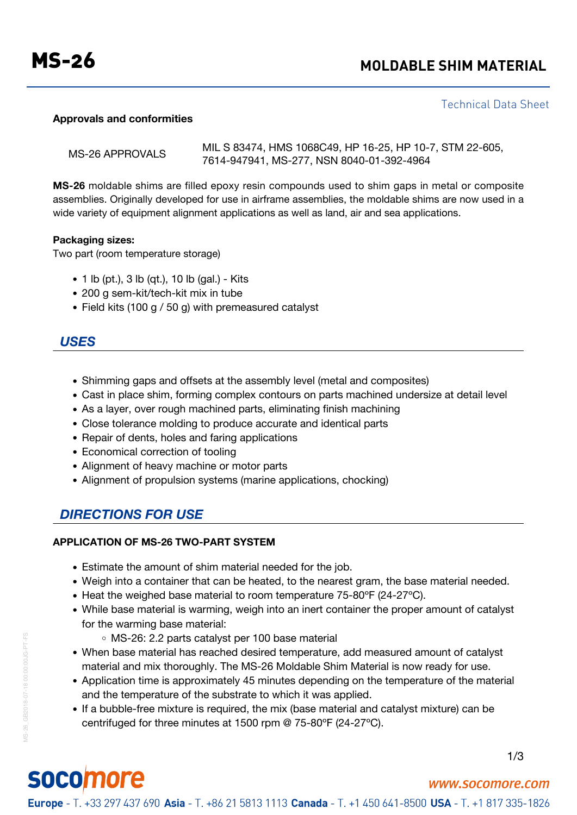# MS-26 **MOLDABLE SHIM MATERIAL**

#### Technical Data Sheet

#### **Approvals and conformities**

| MS-26 APPROVALS | MIL S 83474, HMS 1068C49, HP 16-25, HP 10-7, STM 22-605, |
|-----------------|----------------------------------------------------------|
|                 | 7614-947941, MS-277, NSN 8040-01-392-4964                |

**MS-26** moldable shims are filled epoxy resin compounds used to shim gaps in metal or composite assemblies. Originally developed for use in airframe assemblies, the moldable shims are now used in a wide variety of equipment alignment applications as well as land, air and sea applications.

#### **Packaging sizes:**

Two part (room temperature storage)

- 1 lb (pt.), 3 lb (qt.), 10 lb (gal.) Kits
- 200 g sem-kit/tech-kit mix in tube
- Field kits (100 g / 50 g) with premeasured catalyst

### *USES*

- Shimming gaps and offsets at the assembly level (metal and composites)
- Cast in place shim, forming complex contours on parts machined undersize at detail level
- As a layer, over rough machined parts, eliminating finish machining
- Close tolerance molding to produce accurate and identical parts
- Repair of dents, holes and faring applications
- Economical correction of tooling
- Alignment of heavy machine or motor parts
- Alignment of propulsion systems (marine applications, chocking)

# *DIRECTIONS FOR USE*

#### **APPLICATION OF MS-26 TWO-PART SYSTEM**

- Estimate the amount of shim material needed for the job.
- Weigh into a container that can be heated, to the nearest gram, the base material needed.
- Heat the weighed base material to room temperature 75-80°F (24-27°C).
- While base material is warming, weigh into an inert container the proper amount of catalyst for the warming base material:
	- MS-26: 2.2 parts catalyst per 100 base material
- When base material has reached desired temperature, add measured amount of catalyst material and mix thoroughly. The MS-26 Moldable Shim Material is now ready for use.
- Application time is approximately 45 minutes depending on the temperature of the material and the temperature of the substrate to which it was applied.
- If a bubble-free mixture is required, the mix (base material and catalyst mixture) can be centrifuged for three minutes at 1500 rpm @ 75-80ºF (24-27ºC).

# socomore

MS-26\_GB2018-07-18 00:00:00JG-PT-FS

MS-26 GB2018-07-18 00:00:00JG-PT-FS

1/3

www.socomore.com

Europe - T. +33 297 437 690 Asia - T. +86 21 5813 1113 Canada - T. +1 450 641-8500 USA - T. +1 817 335-1826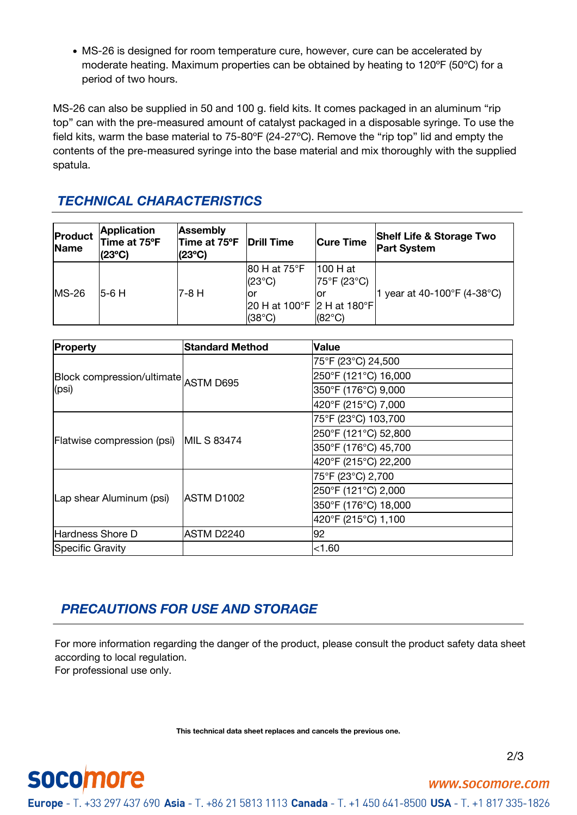MS-26 is designed for room temperature cure, however, cure can be accelerated by moderate heating. Maximum properties can be obtained by heating to 120ºF (50ºC) for a period of two hours.

MS-26 can also be supplied in 50 and 100 g. field kits. It comes packaged in an aluminum "rip top" can with the pre-measured amount of catalyst packaged in a disposable syringe. To use the field kits, warm the base material to 75-80ºF (24-27ºC). Remove the "rip top" lid and empty the contents of the pre-measured syringe into the base material and mix thoroughly with the supplied spatula.

# *TECHNICAL CHARACTERISTICS*

| Product<br>Name | <b>Application</b><br>Time at 75°F<br>$(23^{\circ}C)$ | <b>Assembly</b><br>Time at 75°F<br>$(23^{\circ}C)$ | <b>Drill Time</b>                             | <b>Cure Time</b>         | <b>Shelf Life &amp; Storage Two</b><br><b>Part System</b> |
|-----------------|-------------------------------------------------------|----------------------------------------------------|-----------------------------------------------|--------------------------|-----------------------------------------------------------|
| $MS-26$         | $I5-6H$                                               | 7-8 H                                              | 80 H at 75°F<br>l(23°C).                      | 1100 H at<br>75°F (23°C) | year at 40-100°F (4-38°C)                                 |
|                 |                                                       |                                                    | 20 H at 100°F 2 H at 180°F<br>$(38^{\circ}C)$ | $(82^{\circ}C)$          |                                                           |

| Property                             | <b>Standard Method</b> | <b>Value</b>         |  |
|--------------------------------------|------------------------|----------------------|--|
|                                      |                        | 75°F (23°C) 24,500   |  |
| Block compression/ultimate ASTM D695 |                        | 250°F (121°C) 16,000 |  |
| (psi)                                |                        | 350°F (176°C) 9,000  |  |
|                                      |                        | 420°F (215°C) 7,000  |  |
|                                      |                        | 75°F (23°C) 103,700  |  |
|                                      | MIL S 83474            | 250°F (121°C) 52,800 |  |
| Flatwise compression (psi)           |                        | 350°F (176°C) 45,700 |  |
|                                      |                        | 420°F (215°C) 22,200 |  |
|                                      |                        | 75°F (23°C) 2,700    |  |
| Lap shear Aluminum (psi)             | ASTM D1002             | 250°F (121°C) 2,000  |  |
|                                      |                        | 350°F (176°C) 18,000 |  |
|                                      |                        | 420°F (215°C) 1,100  |  |
| Hardness Shore D                     | ASTM D2240             | 92                   |  |
| Specific Gravity                     |                        | < 1.60               |  |

# *PRECAUTIONS FOR USE AND STORAGE*

For more information regarding the danger of the product, please consult the product safety data sheet according to local regulation. For professional use only.

**This technical data sheet replaces and cancels the previous one.**



**socomore** 

www.socomore.com

Europe - T. +33 297 437 690 Asia - T. +86 21 5813 1113 Canada - T. +1 450 641-8500 USA - T. +1 817 335-1826